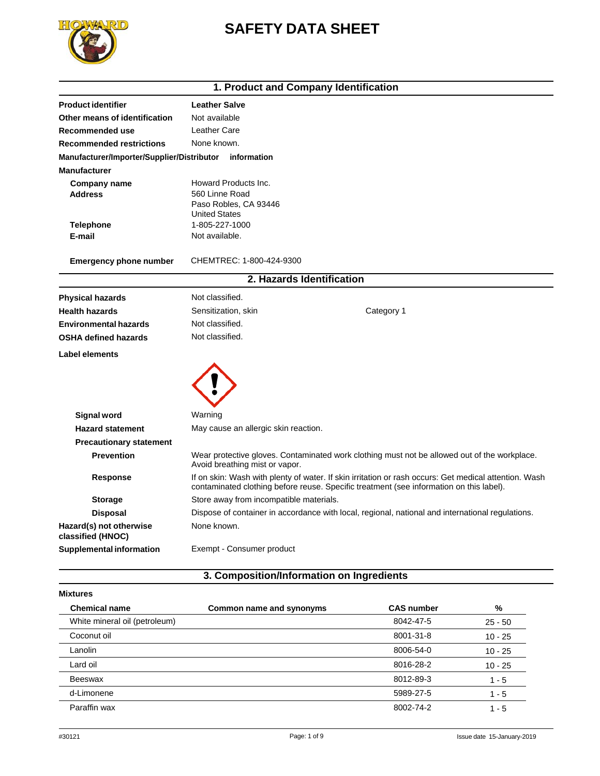# **SAFETY DATA SHEET**



## **1. Product and Company Identification**

| <b>Product identifier</b>                              | <b>Leather Salve</b>                                                                                                                                                                             |  |  |
|--------------------------------------------------------|--------------------------------------------------------------------------------------------------------------------------------------------------------------------------------------------------|--|--|
| Other means of identification                          | Not available                                                                                                                                                                                    |  |  |
| Recommended use                                        | Leather Care                                                                                                                                                                                     |  |  |
| <b>Recommended restrictions</b>                        | None known.                                                                                                                                                                                      |  |  |
| Manufacturer/Importer/Supplier/Distributor information |                                                                                                                                                                                                  |  |  |
| <b>Manufacturer</b>                                    |                                                                                                                                                                                                  |  |  |
| Company name                                           | Howard Products Inc.                                                                                                                                                                             |  |  |
| <b>Address</b>                                         | 560 Linne Road                                                                                                                                                                                   |  |  |
|                                                        | Paso Robles, CA 93446<br><b>United States</b>                                                                                                                                                    |  |  |
| <b>Telephone</b>                                       | 1-805-227-1000                                                                                                                                                                                   |  |  |
| E-mail                                                 | Not available.                                                                                                                                                                                   |  |  |
|                                                        |                                                                                                                                                                                                  |  |  |
| <b>Emergency phone number</b>                          | CHEMTREC: 1-800-424-9300                                                                                                                                                                         |  |  |
|                                                        | 2. Hazards Identification                                                                                                                                                                        |  |  |
| <b>Physical hazards</b>                                | Not classified.                                                                                                                                                                                  |  |  |
| <b>Health hazards</b>                                  | Category 1<br>Sensitization, skin                                                                                                                                                                |  |  |
| <b>Environmental hazards</b>                           | Not classified.                                                                                                                                                                                  |  |  |
| <b>OSHA defined hazards</b>                            | Not classified.                                                                                                                                                                                  |  |  |
| <b>Label elements</b>                                  |                                                                                                                                                                                                  |  |  |
|                                                        |                                                                                                                                                                                                  |  |  |
|                                                        |                                                                                                                                                                                                  |  |  |
| <b>Signal word</b>                                     | Warning                                                                                                                                                                                          |  |  |
| <b>Hazard statement</b>                                | May cause an allergic skin reaction.                                                                                                                                                             |  |  |
| <b>Precautionary statement</b>                         |                                                                                                                                                                                                  |  |  |
| <b>Prevention</b>                                      | Wear protective gloves. Contaminated work clothing must not be allowed out of the workplace.<br>Avoid breathing mist or vapor.                                                                   |  |  |
| Response                                               | If on skin: Wash with plenty of water. If skin irritation or rash occurs: Get medical attention. Wash<br>contaminated clothing before reuse. Specific treatment (see information on this label). |  |  |
| <b>Storage</b>                                         | Store away from incompatible materials.                                                                                                                                                          |  |  |
| Disposal                                               | Dispose of container in accordance with local, regional, national and international regulations.                                                                                                 |  |  |
| Hazard(s) not otherwise<br>classified (HNOC)           | None known.                                                                                                                                                                                      |  |  |
| <b>Supplemental information</b>                        | Exempt - Consumer product                                                                                                                                                                        |  |  |

# **3. Composition/Information on Ingredients**

| <b>Mixtures</b>               |                          |                   |           |
|-------------------------------|--------------------------|-------------------|-----------|
| <b>Chemical name</b>          | Common name and synonyms | <b>CAS number</b> | %         |
| White mineral oil (petroleum) |                          | 8042-47-5         | $25 - 50$ |
| Coconut oil                   |                          | 8001-31-8         | $10 - 25$ |
| Lanolin                       |                          | 8006-54-0         | $10 - 25$ |
| Lard oil                      |                          | 8016-28-2         | $10 - 25$ |
| Beeswax                       |                          | 8012-89-3         | $1 - 5$   |
| d-Limonene                    |                          | 5989-27-5         | $1 - 5$   |
| Paraffin wax                  |                          | 8002-74-2         | $1 - 5$   |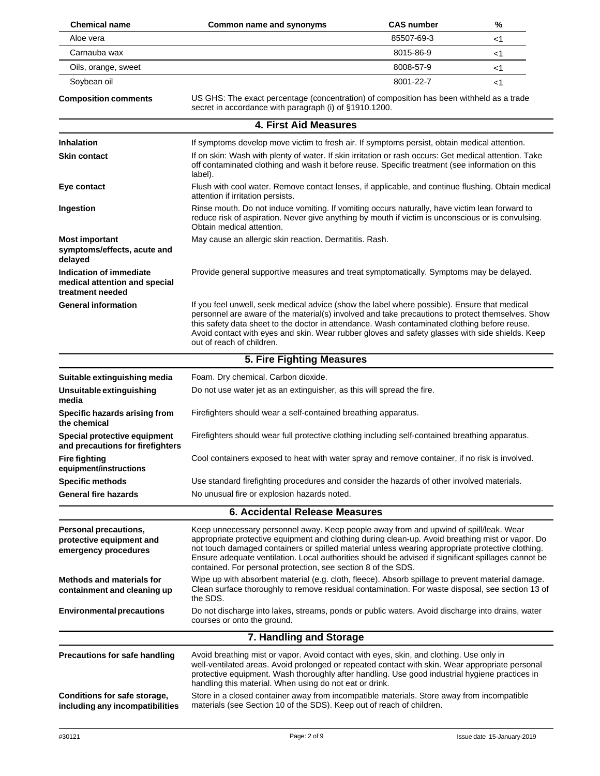| <b>Chemical name</b>                                                         | Common name and synonyms                                                                                                                                                                                                                                                                                                                                                                                                                                              | <b>CAS number</b> | %  |
|------------------------------------------------------------------------------|-----------------------------------------------------------------------------------------------------------------------------------------------------------------------------------------------------------------------------------------------------------------------------------------------------------------------------------------------------------------------------------------------------------------------------------------------------------------------|-------------------|----|
| Aloe vera                                                                    |                                                                                                                                                                                                                                                                                                                                                                                                                                                                       | 85507-69-3        | <1 |
| Carnauba wax                                                                 |                                                                                                                                                                                                                                                                                                                                                                                                                                                                       | 8015-86-9         | <1 |
| Oils, orange, sweet                                                          |                                                                                                                                                                                                                                                                                                                                                                                                                                                                       | 8008-57-9         | <1 |
| Soybean oil                                                                  |                                                                                                                                                                                                                                                                                                                                                                                                                                                                       | 8001-22-7         | <1 |
| <b>Composition comments</b>                                                  | US GHS: The exact percentage (concentration) of composition has been withheld as a trade<br>secret in accordance with paragraph (i) of §1910.1200.                                                                                                                                                                                                                                                                                                                    |                   |    |
|                                                                              | 4. First Aid Measures                                                                                                                                                                                                                                                                                                                                                                                                                                                 |                   |    |
| <b>Inhalation</b>                                                            | If symptoms develop move victim to fresh air. If symptoms persist, obtain medical attention.                                                                                                                                                                                                                                                                                                                                                                          |                   |    |
| <b>Skin contact</b>                                                          | If on skin: Wash with plenty of water. If skin irritation or rash occurs: Get medical attention. Take<br>off contaminated clothing and wash it before reuse. Specific treatment (see information on this<br>label).                                                                                                                                                                                                                                                   |                   |    |
| Eye contact                                                                  | Flush with cool water. Remove contact lenses, if applicable, and continue flushing. Obtain medical<br>attention if irritation persists.                                                                                                                                                                                                                                                                                                                               |                   |    |
| Ingestion                                                                    | Rinse mouth. Do not induce vomiting. If vomiting occurs naturally, have victim lean forward to<br>reduce risk of aspiration. Never give anything by mouth if victim is unconscious or is convulsing.<br>Obtain medical attention.                                                                                                                                                                                                                                     |                   |    |
| <b>Most important</b><br>symptoms/effects, acute and<br>delayed              | May cause an allergic skin reaction. Dermatitis. Rash.                                                                                                                                                                                                                                                                                                                                                                                                                |                   |    |
| Indication of immediate<br>medical attention and special<br>treatment needed | Provide general supportive measures and treat symptomatically. Symptoms may be delayed.                                                                                                                                                                                                                                                                                                                                                                               |                   |    |
| <b>General information</b>                                                   | If you feel unwell, seek medical advice (show the label where possible). Ensure that medical<br>personnel are aware of the material(s) involved and take precautions to protect themselves. Show<br>this safety data sheet to the doctor in attendance. Wash contaminated clothing before reuse.<br>Avoid contact with eyes and skin. Wear rubber gloves and safety glasses with side shields. Keep<br>out of reach of children.                                      |                   |    |
|                                                                              | 5. Fire Fighting Measures                                                                                                                                                                                                                                                                                                                                                                                                                                             |                   |    |
| Suitable extinguishing media                                                 | Foam. Dry chemical. Carbon dioxide.                                                                                                                                                                                                                                                                                                                                                                                                                                   |                   |    |
| Unsuitable extinguishing<br>media                                            | Do not use water jet as an extinguisher, as this will spread the fire.                                                                                                                                                                                                                                                                                                                                                                                                |                   |    |
| Specific hazards arising from<br>the chemical                                | Firefighters should wear a self-contained breathing apparatus.                                                                                                                                                                                                                                                                                                                                                                                                        |                   |    |
| Special protective equipment<br>and precautions for firefighters             | Firefighters should wear full protective clothing including self-contained breathing apparatus.                                                                                                                                                                                                                                                                                                                                                                       |                   |    |
| <b>Fire fighting</b><br>equipment/instructions                               | Cool containers exposed to heat with water spray and remove container, if no risk is involved.                                                                                                                                                                                                                                                                                                                                                                        |                   |    |
| <b>Specific methods</b>                                                      | Use standard firefighting procedures and consider the hazards of other involved materials.                                                                                                                                                                                                                                                                                                                                                                            |                   |    |
| <b>General fire hazards</b>                                                  | No unusual fire or explosion hazards noted.                                                                                                                                                                                                                                                                                                                                                                                                                           |                   |    |
|                                                                              | <b>6. Accidental Release Measures</b>                                                                                                                                                                                                                                                                                                                                                                                                                                 |                   |    |
| Personal precautions,<br>protective equipment and<br>emergency procedures    | Keep unnecessary personnel away. Keep people away from and upwind of spill/leak. Wear<br>appropriate protective equipment and clothing during clean-up. Avoid breathing mist or vapor. Do<br>not touch damaged containers or spilled material unless wearing appropriate protective clothing.<br>Ensure adequate ventilation. Local authorities should be advised if significant spillages cannot be<br>contained. For personal protection, see section 8 of the SDS. |                   |    |
| <b>Methods and materials for</b><br>containment and cleaning up              | Wipe up with absorbent material (e.g. cloth, fleece). Absorb spillage to prevent material damage.<br>Clean surface thoroughly to remove residual contamination. For waste disposal, see section 13 of<br>the SDS.                                                                                                                                                                                                                                                     |                   |    |
| <b>Environmental precautions</b>                                             | Do not discharge into lakes, streams, ponds or public waters. Avoid discharge into drains, water<br>courses or onto the ground.                                                                                                                                                                                                                                                                                                                                       |                   |    |
|                                                                              | 7. Handling and Storage                                                                                                                                                                                                                                                                                                                                                                                                                                               |                   |    |
| Precautions for safe handling                                                | Avoid breathing mist or vapor. Avoid contact with eyes, skin, and clothing. Use only in<br>well-ventilated areas. Avoid prolonged or repeated contact with skin. Wear appropriate personal<br>protective equipment. Wash thoroughly after handling. Use good industrial hygiene practices in<br>handling this material. When using do not eat or drink.                                                                                                               |                   |    |
| Conditions for safe storage,<br>including any incompatibilities              | Store in a closed container away from incompatible materials. Store away from incompatible<br>materials (see Section 10 of the SDS). Keep out of reach of children.                                                                                                                                                                                                                                                                                                   |                   |    |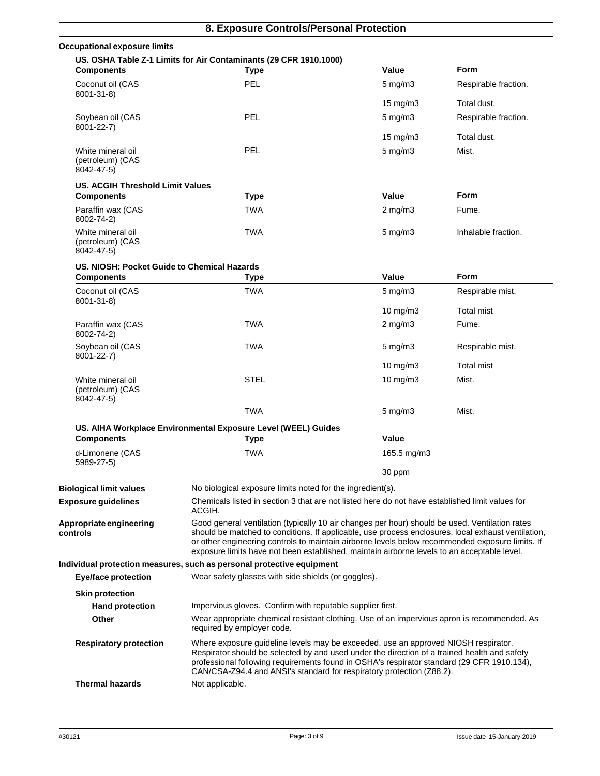| <b>Occupational exposure limits</b>                 |                                                                                                                                                                                                                                                                                                                                                                                                        |                    |                      |
|-----------------------------------------------------|--------------------------------------------------------------------------------------------------------------------------------------------------------------------------------------------------------------------------------------------------------------------------------------------------------------------------------------------------------------------------------------------------------|--------------------|----------------------|
| <b>Components</b>                                   | US. OSHA Table Z-1 Limits for Air Contaminants (29 CFR 1910.1000)<br><b>Type</b>                                                                                                                                                                                                                                                                                                                       | Value              | <b>Form</b>          |
| Coconut oil (CAS<br>$8001 - 31 - 8$                 | <b>PEL</b>                                                                                                                                                                                                                                                                                                                                                                                             | $5$ mg/m $3$       | Respirable fraction. |
|                                                     |                                                                                                                                                                                                                                                                                                                                                                                                        | $15 \text{ mg/m}$  | Total dust.          |
| Soybean oil (CAS<br>8001-22-7)                      | <b>PEL</b>                                                                                                                                                                                                                                                                                                                                                                                             | $5 \text{ mg/m}$   | Respirable fraction. |
|                                                     |                                                                                                                                                                                                                                                                                                                                                                                                        | $15 \text{ mg/m}$  | Total dust.          |
| White mineral oil<br>(petroleum) (CAS<br>8042-47-5) | <b>PEL</b>                                                                                                                                                                                                                                                                                                                                                                                             | $5$ mg/m $3$       | Mist.                |
| US. ACGIH Threshold Limit Values                    |                                                                                                                                                                                                                                                                                                                                                                                                        |                    |                      |
| <b>Components</b>                                   | <b>Type</b>                                                                                                                                                                                                                                                                                                                                                                                            | Value              | Form                 |
| Paraffin wax (CAS<br>8002-74-2)                     | <b>TWA</b>                                                                                                                                                                                                                                                                                                                                                                                             | $2$ mg/m $3$       | Fume.                |
| White mineral oil<br>(petroleum) (CAS<br>8042-47-5) | <b>TWA</b>                                                                                                                                                                                                                                                                                                                                                                                             | $5 \text{ mg/m}$   | Inhalable fraction.  |
| US. NIOSH: Pocket Guide to Chemical Hazards         |                                                                                                                                                                                                                                                                                                                                                                                                        |                    |                      |
| <b>Components</b>                                   | <b>Type</b>                                                                                                                                                                                                                                                                                                                                                                                            | Value              | <b>Form</b>          |
| Coconut oil (CAS<br>8001-31-8)                      | <b>TWA</b>                                                                                                                                                                                                                                                                                                                                                                                             | $5 \text{ mg/m}$ 3 | Respirable mist.     |
|                                                     |                                                                                                                                                                                                                                                                                                                                                                                                        | $10 \text{ mg/m}$  | Total mist           |
| Paraffin wax (CAS<br>8002-74-2)                     | <b>TWA</b>                                                                                                                                                                                                                                                                                                                                                                                             | $2$ mg/m $3$       | Fume.                |
| Soybean oil (CAS<br>8001-22-7)                      | <b>TWA</b>                                                                                                                                                                                                                                                                                                                                                                                             | $5 \text{ mg/m}$ 3 | Respirable mist.     |
|                                                     |                                                                                                                                                                                                                                                                                                                                                                                                        | $10 \text{ mg/m}$  | Total mist           |
| White mineral oil<br>(petroleum) (CAS<br>8042-47-5) | <b>STEL</b>                                                                                                                                                                                                                                                                                                                                                                                            | $10$ mg/m $3$      | Mist.                |
|                                                     | <b>TWA</b>                                                                                                                                                                                                                                                                                                                                                                                             | $5 \text{ mg/m}$ 3 | Mist.                |
|                                                     | US. AIHA Workplace Environmental Exposure Level (WEEL) Guides                                                                                                                                                                                                                                                                                                                                          |                    |                      |
| <b>Components</b>                                   | <b>Type</b>                                                                                                                                                                                                                                                                                                                                                                                            | Value              |                      |
| d-Limonene (CAS<br>5989-27-5)                       | <b>TWA</b>                                                                                                                                                                                                                                                                                                                                                                                             | 165.5 mg/m3        |                      |
|                                                     |                                                                                                                                                                                                                                                                                                                                                                                                        | 30 ppm             |                      |
| <b>Biological limit values</b>                      | No biological exposure limits noted for the ingredient(s).                                                                                                                                                                                                                                                                                                                                             |                    |                      |
| <b>Exposure guidelines</b>                          | Chemicals listed in section 3 that are not listed here do not have established limit values for<br>ACGIH.                                                                                                                                                                                                                                                                                              |                    |                      |
| Appropriate engineering<br>controls                 | Good general ventilation (typically 10 air changes per hour) should be used. Ventilation rates<br>should be matched to conditions. If applicable, use process enclosures, local exhaust ventilation,<br>or other engineering controls to maintain airborne levels below recommended exposure limits. If<br>exposure limits have not been established, maintain airborne levels to an acceptable level. |                    |                      |
|                                                     | Individual protection measures, such as personal protective equipment                                                                                                                                                                                                                                                                                                                                  |                    |                      |
| <b>Eye/face protection</b>                          | Wear safety glasses with side shields (or goggles).                                                                                                                                                                                                                                                                                                                                                    |                    |                      |
| <b>Skin protection</b>                              | Impervious gloves. Confirm with reputable supplier first.                                                                                                                                                                                                                                                                                                                                              |                    |                      |
| <b>Hand protection</b>                              |                                                                                                                                                                                                                                                                                                                                                                                                        |                    |                      |
| Other                                               | Wear appropriate chemical resistant clothing. Use of an impervious apron is recommended. As<br>required by employer code.                                                                                                                                                                                                                                                                              |                    |                      |
| <b>Respiratory protection</b>                       | Where exposure guideline levels may be exceeded, use an approved NIOSH respirator.<br>Respirator should be selected by and used under the direction of a trained health and safety<br>professional following requirements found in OSHA's respirator standard (29 CFR 1910.134),<br>CAN/CSA-Z94.4 and ANSI's standard for respiratory protection (Z88.2).                                              |                    |                      |
| <b>Thermal hazards</b>                              | Not applicable.                                                                                                                                                                                                                                                                                                                                                                                        |                    |                      |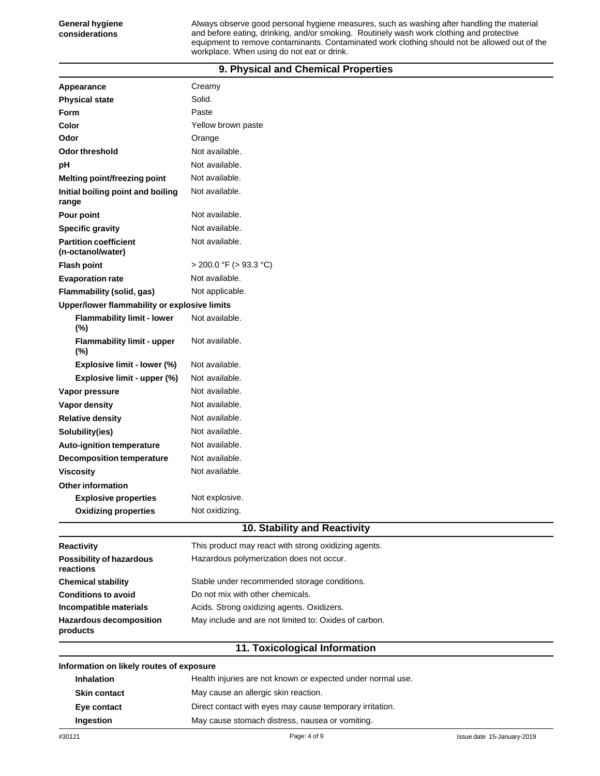Always observe good personal hygiene measures, such as washing after handling the material and before eating, drinking, and/or smoking. Routinely wash work clothing and protective equipment to remove contaminants. Contaminated work clothing should not be allowed out of the workplace. When using do not eat or drink.

### **9. Physical and Chemical Properties**

| Appearance                                        | Creamy                                               |  |  |  |
|---------------------------------------------------|------------------------------------------------------|--|--|--|
| <b>Physical state</b>                             | Solid.                                               |  |  |  |
| <b>Form</b>                                       | Paste                                                |  |  |  |
| Color                                             | Yellow brown paste                                   |  |  |  |
| Odor                                              | Orange                                               |  |  |  |
| <b>Odor threshold</b>                             | Not available.                                       |  |  |  |
| рH                                                | Not available.                                       |  |  |  |
| Melting point/freezing point                      | Not available.                                       |  |  |  |
| Initial boiling point and boiling<br>range        | Not available.                                       |  |  |  |
| Pour point                                        | Not available.                                       |  |  |  |
| <b>Specific gravity</b>                           | Not available.                                       |  |  |  |
| <b>Partition coefficient</b><br>(n-octanol/water) | Not available.                                       |  |  |  |
| <b>Flash point</b>                                | > 200.0 °F (> 93.3 °C)                               |  |  |  |
| <b>Evaporation rate</b>                           | Not available.                                       |  |  |  |
| Flammability (solid, gas)                         | Not applicable.                                      |  |  |  |
|                                                   | Upper/lower flammability or explosive limits         |  |  |  |
| <b>Flammability limit - lower</b><br>(%)          | Not available.                                       |  |  |  |
| <b>Flammability limit - upper</b><br>(%)          | Not available.                                       |  |  |  |
| Explosive limit - lower (%)                       | Not available.                                       |  |  |  |
| Explosive limit - upper (%)                       | Not available.                                       |  |  |  |
| Vapor pressure                                    | Not available.                                       |  |  |  |
| Vapor density                                     | Not available.                                       |  |  |  |
| <b>Relative density</b>                           | Not available.                                       |  |  |  |
| Solubility(ies)                                   | Not available.                                       |  |  |  |
| <b>Auto-ignition temperature</b>                  | Not available.                                       |  |  |  |
| <b>Decomposition temperature</b>                  | Not available.                                       |  |  |  |
| <b>Viscosity</b>                                  | Not available.                                       |  |  |  |
| Other information                                 |                                                      |  |  |  |
| <b>Explosive properties</b>                       | Not explosive.                                       |  |  |  |
| <b>Oxidizing properties</b>                       | Not oxidizing.                                       |  |  |  |
|                                                   | 10. Stability and Reactivity                         |  |  |  |
| <b>Reactivity</b>                                 | This product may react with strong oxidizing agents. |  |  |  |
| <b>Possibility of hazardous</b><br>reactions      | Hazardous polymerization does not occur.             |  |  |  |
| <b>Chemical stability</b>                         | Stable under recommended storage conditions.         |  |  |  |

**Conditions to avoid** Do not mix with other chemicals.

**Incompatible materials** Acids. Strong oxidizing agents. Oxidizers.

**Hazardous decomposition** May include and are not limited to: Oxides of carbon.

## **11. Toxicological Information**

#### **Information on likely routes of exposure**

| <b>Inhalation</b>   | Health injuries are not known or expected under normal use. |
|---------------------|-------------------------------------------------------------|
| <b>Skin contact</b> | May cause an allergic skin reaction.                        |
| Eye contact         | Direct contact with eyes may cause temporary irritation.    |
| Ingestion           | May cause stomach distress, nausea or vomiting.             |

**products**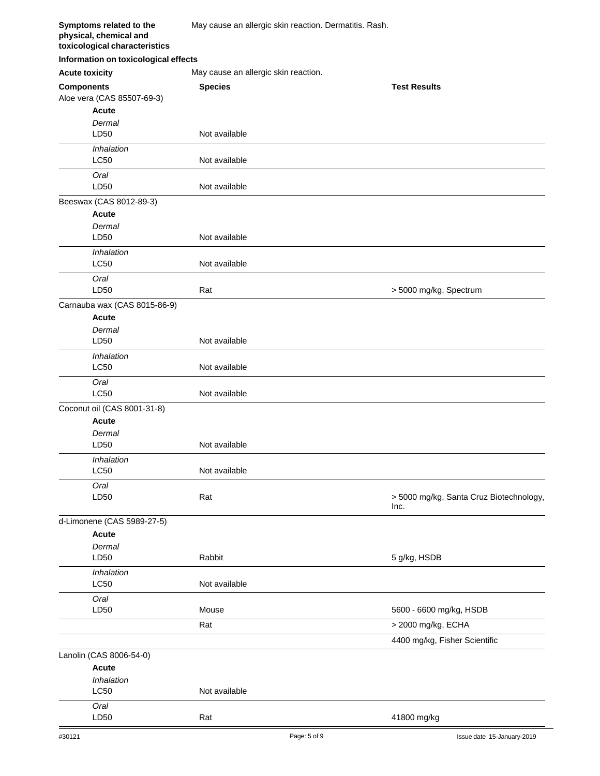| Symptoms related to the<br>physical, chemical and<br>toxicological characteristics | May cause an allergic skin reaction. Dermatitis. Rash. |                                                 |  |
|------------------------------------------------------------------------------------|--------------------------------------------------------|-------------------------------------------------|--|
| Information on toxicological effects                                               |                                                        |                                                 |  |
| <b>Acute toxicity</b>                                                              | May cause an allergic skin reaction.                   |                                                 |  |
| <b>Components</b>                                                                  | <b>Species</b>                                         | <b>Test Results</b>                             |  |
| Aloe vera (CAS 85507-69-3)                                                         |                                                        |                                                 |  |
| <b>Acute</b>                                                                       |                                                        |                                                 |  |
| Dermal                                                                             |                                                        |                                                 |  |
| LD50                                                                               | Not available                                          |                                                 |  |
| Inhalation<br>LC50                                                                 | Not available                                          |                                                 |  |
| Oral<br>LD50                                                                       | Not available                                          |                                                 |  |
| Beeswax (CAS 8012-89-3)                                                            |                                                        |                                                 |  |
| <b>Acute</b>                                                                       |                                                        |                                                 |  |
| Dermal                                                                             |                                                        |                                                 |  |
| LD50                                                                               | Not available                                          |                                                 |  |
| Inhalation                                                                         |                                                        |                                                 |  |
| <b>LC50</b>                                                                        | Not available                                          |                                                 |  |
| Oral                                                                               |                                                        |                                                 |  |
| LD50                                                                               | Rat                                                    | > 5000 mg/kg, Spectrum                          |  |
| Carnauba wax (CAS 8015-86-9)                                                       |                                                        |                                                 |  |
| <b>Acute</b>                                                                       |                                                        |                                                 |  |
| Dermal                                                                             |                                                        |                                                 |  |
| LD50                                                                               | Not available                                          |                                                 |  |
| Inhalation                                                                         |                                                        |                                                 |  |
| <b>LC50</b>                                                                        | Not available                                          |                                                 |  |
| Oral<br>LC50                                                                       | Not available                                          |                                                 |  |
| Coconut oil (CAS 8001-31-8)                                                        |                                                        |                                                 |  |
| <b>Acute</b>                                                                       |                                                        |                                                 |  |
| Dermal                                                                             |                                                        |                                                 |  |
| LD50                                                                               | Not available                                          |                                                 |  |
| <i><b>Inhalation</b></i>                                                           |                                                        |                                                 |  |
| LC50                                                                               | Not available                                          |                                                 |  |
| Oral                                                                               |                                                        |                                                 |  |
| LD50                                                                               | Rat                                                    | > 5000 mg/kg, Santa Cruz Biotechnology,<br>Inc. |  |
| d-Limonene (CAS 5989-27-5)                                                         |                                                        |                                                 |  |
| Acute                                                                              |                                                        |                                                 |  |
| Dermal                                                                             |                                                        |                                                 |  |
| LD50                                                                               | Rabbit                                                 | 5 g/kg, HSDB                                    |  |
| Inhalation                                                                         |                                                        |                                                 |  |
| <b>LC50</b>                                                                        | Not available                                          |                                                 |  |
| Oral                                                                               |                                                        |                                                 |  |
| LD50                                                                               | Mouse                                                  | 5600 - 6600 mg/kg, HSDB                         |  |
|                                                                                    | Rat                                                    | > 2000 mg/kg, ECHA                              |  |
|                                                                                    |                                                        | 4400 mg/kg, Fisher Scientific                   |  |
| Lanolin (CAS 8006-54-0)                                                            |                                                        |                                                 |  |
| Acute                                                                              |                                                        |                                                 |  |
| Inhalation                                                                         |                                                        |                                                 |  |
| <b>LC50</b>                                                                        | Not available                                          |                                                 |  |
| Oral<br>LD50                                                                       | Rat                                                    | 41800 mg/kg                                     |  |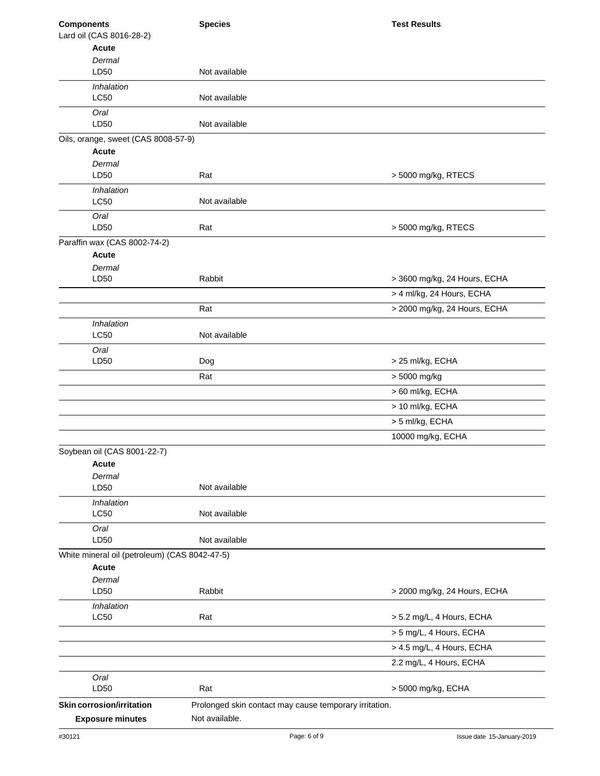| <b>Components</b>                             | <b>Species</b>                                         | <b>Test Results</b>          |
|-----------------------------------------------|--------------------------------------------------------|------------------------------|
| Lard oil (CAS 8016-28-2)                      |                                                        |                              |
| <b>Acute</b>                                  |                                                        |                              |
| Dermal<br>LD50                                | Not available                                          |                              |
|                                               |                                                        |                              |
| Inhalation<br><b>LC50</b>                     | Not available                                          |                              |
| Oral<br>LD50                                  | Not available                                          |                              |
| Oils, orange, sweet (CAS 8008-57-9)           |                                                        |                              |
| <b>Acute</b>                                  |                                                        |                              |
| Dermal                                        |                                                        |                              |
| LD50                                          | Rat                                                    | > 5000 mg/kg, RTECS          |
| Inhalation                                    |                                                        |                              |
| LC50                                          | Not available                                          |                              |
| Oral                                          |                                                        |                              |
| LD50                                          | Rat                                                    | > 5000 mg/kg, RTECS          |
| Paraffin wax (CAS 8002-74-2)                  |                                                        |                              |
| <b>Acute</b>                                  |                                                        |                              |
| Dermal<br>LD50                                | Rabbit                                                 | > 3600 mg/kg, 24 Hours, ECHA |
|                                               |                                                        |                              |
|                                               |                                                        | > 4 ml/kg, 24 Hours, ECHA    |
|                                               | Rat                                                    | > 2000 mg/kg, 24 Hours, ECHA |
| Inhalation                                    |                                                        |                              |
| <b>LC50</b>                                   | Not available                                          |                              |
| Oral                                          |                                                        |                              |
| LD50                                          | Dog                                                    | > 25 ml/kg, ECHA             |
|                                               | Rat                                                    | > 5000 mg/kg                 |
|                                               |                                                        | > 60 ml/kg, ECHA             |
|                                               |                                                        | > 10 ml/kg, ECHA             |
|                                               |                                                        | > 5 ml/kg, ECHA              |
|                                               |                                                        | 10000 mg/kg, ECHA            |
| Soybean oil (CAS 8001-22-7)                   |                                                        |                              |
| Acute                                         |                                                        |                              |
| Dermal                                        |                                                        |                              |
| LD50                                          | Not available                                          |                              |
| Inhalation                                    |                                                        |                              |
| <b>LC50</b>                                   | Not available                                          |                              |
| Oral<br>LD50                                  | Not available                                          |                              |
| White mineral oil (petroleum) (CAS 8042-47-5) |                                                        |                              |
| Acute                                         |                                                        |                              |
| Dermal                                        |                                                        |                              |
| LD50                                          | Rabbit                                                 | > 2000 mg/kg, 24 Hours, ECHA |
| Inhalation                                    |                                                        |                              |
| LC50                                          | Rat                                                    | > 5.2 mg/L, 4 Hours, ECHA    |
|                                               |                                                        | > 5 mg/L, 4 Hours, ECHA      |
|                                               |                                                        | > 4.5 mg/L, 4 Hours, ECHA    |
|                                               |                                                        | 2.2 mg/L, 4 Hours, ECHA      |
| Oral                                          |                                                        |                              |
| LD50                                          | Rat                                                    | > 5000 mg/kg, ECHA           |
| <b>Skin corrosion/irritation</b>              | Prolonged skin contact may cause temporary irritation. |                              |
| <b>Exposure minutes</b>                       | Not available.                                         |                              |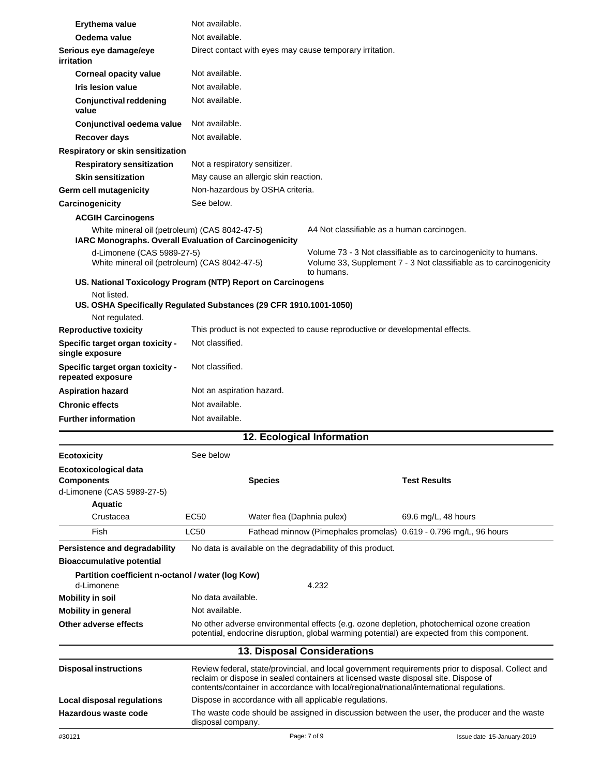| Erythema value                                                                                                                                   | Not available.     |                                                                                                                                                                                                                                                                                       |                                                            |                                                                                                                                                                                            |
|--------------------------------------------------------------------------------------------------------------------------------------------------|--------------------|---------------------------------------------------------------------------------------------------------------------------------------------------------------------------------------------------------------------------------------------------------------------------------------|------------------------------------------------------------|--------------------------------------------------------------------------------------------------------------------------------------------------------------------------------------------|
| Oedema value                                                                                                                                     |                    | Not available.                                                                                                                                                                                                                                                                        |                                                            |                                                                                                                                                                                            |
| Serious eye damage/eye<br>irritation                                                                                                             |                    |                                                                                                                                                                                                                                                                                       | Direct contact with eyes may cause temporary irritation.   |                                                                                                                                                                                            |
| <b>Corneal opacity value</b>                                                                                                                     |                    | Not available.                                                                                                                                                                                                                                                                        |                                                            |                                                                                                                                                                                            |
| <b>Iris lesion value</b>                                                                                                                         |                    | Not available.                                                                                                                                                                                                                                                                        |                                                            |                                                                                                                                                                                            |
| <b>Conjunctival reddening</b><br>value                                                                                                           | Not available.     |                                                                                                                                                                                                                                                                                       |                                                            |                                                                                                                                                                                            |
| Conjunctival oedema value                                                                                                                        | Not available.     |                                                                                                                                                                                                                                                                                       |                                                            |                                                                                                                                                                                            |
| Recover days                                                                                                                                     | Not available.     |                                                                                                                                                                                                                                                                                       |                                                            |                                                                                                                                                                                            |
| Respiratory or skin sensitization                                                                                                                |                    |                                                                                                                                                                                                                                                                                       |                                                            |                                                                                                                                                                                            |
| <b>Respiratory sensitization</b>                                                                                                                 |                    | Not a respiratory sensitizer.                                                                                                                                                                                                                                                         |                                                            |                                                                                                                                                                                            |
| <b>Skin sensitization</b>                                                                                                                        |                    | May cause an allergic skin reaction.                                                                                                                                                                                                                                                  |                                                            |                                                                                                                                                                                            |
| Germ cell mutagenicity                                                                                                                           |                    | Non-hazardous by OSHA criteria.                                                                                                                                                                                                                                                       |                                                            |                                                                                                                                                                                            |
| Carcinogenicity                                                                                                                                  | See below.         |                                                                                                                                                                                                                                                                                       |                                                            |                                                                                                                                                                                            |
| <b>ACGIH Carcinogens</b>                                                                                                                         |                    |                                                                                                                                                                                                                                                                                       |                                                            |                                                                                                                                                                                            |
| White mineral oil (petroleum) (CAS 8042-47-5)<br>IARC Monographs. Overall Evaluation of Carcinogenicity                                          |                    |                                                                                                                                                                                                                                                                                       |                                                            | A4 Not classifiable as a human carcinogen.                                                                                                                                                 |
| d-Limonene (CAS 5989-27-5)<br>White mineral oil (petroleum) (CAS 8042-47-5)                                                                      |                    |                                                                                                                                                                                                                                                                                       | to humans.                                                 | Volume 73 - 3 Not classifiable as to carcinogenicity to humans.<br>Volume 33, Supplement 7 - 3 Not classifiable as to carcinogenicity                                                      |
| US. National Toxicology Program (NTP) Report on Carcinogens<br>Not listed.<br>US. OSHA Specifically Regulated Substances (29 CFR 1910.1001-1050) |                    |                                                                                                                                                                                                                                                                                       |                                                            |                                                                                                                                                                                            |
| Not regulated.                                                                                                                                   |                    |                                                                                                                                                                                                                                                                                       |                                                            |                                                                                                                                                                                            |
| <b>Reproductive toxicity</b>                                                                                                                     |                    |                                                                                                                                                                                                                                                                                       |                                                            | This product is not expected to cause reproductive or developmental effects.                                                                                                               |
| Specific target organ toxicity -<br>single exposure                                                                                              | Not classified.    |                                                                                                                                                                                                                                                                                       |                                                            |                                                                                                                                                                                            |
| Specific target organ toxicity -<br>repeated exposure                                                                                            | Not classified.    |                                                                                                                                                                                                                                                                                       |                                                            |                                                                                                                                                                                            |
| <b>Aspiration hazard</b>                                                                                                                         |                    | Not an aspiration hazard.                                                                                                                                                                                                                                                             |                                                            |                                                                                                                                                                                            |
| <b>Chronic effects</b>                                                                                                                           | Not available.     |                                                                                                                                                                                                                                                                                       |                                                            |                                                                                                                                                                                            |
| <b>Further information</b>                                                                                                                       | Not available.     |                                                                                                                                                                                                                                                                                       |                                                            |                                                                                                                                                                                            |
|                                                                                                                                                  |                    |                                                                                                                                                                                                                                                                                       | 12. Ecological Information                                 |                                                                                                                                                                                            |
| <b>Ecotoxicity</b>                                                                                                                               | See below          |                                                                                                                                                                                                                                                                                       |                                                            |                                                                                                                                                                                            |
| Ecotoxicological data<br><b>Components</b><br>d-Limonene (CAS 5989-27-5)<br><b>Aquatic</b>                                                       |                    | <b>Species</b>                                                                                                                                                                                                                                                                        |                                                            | <b>Test Results</b>                                                                                                                                                                        |
| Crustacea                                                                                                                                        | EC50               | Water flea (Daphnia pulex)                                                                                                                                                                                                                                                            |                                                            | 69.6 mg/L, 48 hours                                                                                                                                                                        |
| Fish                                                                                                                                             | <b>LC50</b>        |                                                                                                                                                                                                                                                                                       |                                                            | Fathead minnow (Pimephales promelas) 0.619 - 0.796 mg/L, 96 hours                                                                                                                          |
| Persistence and degradability                                                                                                                    |                    |                                                                                                                                                                                                                                                                                       | No data is available on the degradability of this product. |                                                                                                                                                                                            |
| <b>Bioaccumulative potential</b>                                                                                                                 |                    |                                                                                                                                                                                                                                                                                       |                                                            |                                                                                                                                                                                            |
| Partition coefficient n-octanol / water (log Kow)<br>d-Limonene                                                                                  |                    |                                                                                                                                                                                                                                                                                       | 4.232                                                      |                                                                                                                                                                                            |
| <b>Mobility in soil</b>                                                                                                                          | No data available. |                                                                                                                                                                                                                                                                                       |                                                            |                                                                                                                                                                                            |
| <b>Mobility in general</b>                                                                                                                       |                    | Not available.                                                                                                                                                                                                                                                                        |                                                            |                                                                                                                                                                                            |
| Other adverse effects                                                                                                                            |                    |                                                                                                                                                                                                                                                                                       |                                                            | No other adverse environmental effects (e.g. ozone depletion, photochemical ozone creation<br>potential, endocrine disruption, global warming potential) are expected from this component. |
|                                                                                                                                                  |                    |                                                                                                                                                                                                                                                                                       | <b>13. Disposal Considerations</b>                         |                                                                                                                                                                                            |
| <b>Disposal instructions</b>                                                                                                                     |                    | Review federal, state/provincial, and local government requirements prior to disposal. Collect and<br>reclaim or dispose in sealed containers at licensed waste disposal site. Dispose of<br>contents/container in accordance with local/regional/national/international regulations. |                                                            |                                                                                                                                                                                            |
| Local disposal regulations                                                                                                                       |                    |                                                                                                                                                                                                                                                                                       | Dispose in accordance with all applicable regulations.     |                                                                                                                                                                                            |
| Hazardous waste code                                                                                                                             | disposal company.  |                                                                                                                                                                                                                                                                                       |                                                            | The waste code should be assigned in discussion between the user, the producer and the waste                                                                                               |
| #30121                                                                                                                                           |                    |                                                                                                                                                                                                                                                                                       | Page: 7 of 9                                               | Issue date 15-January-2019                                                                                                                                                                 |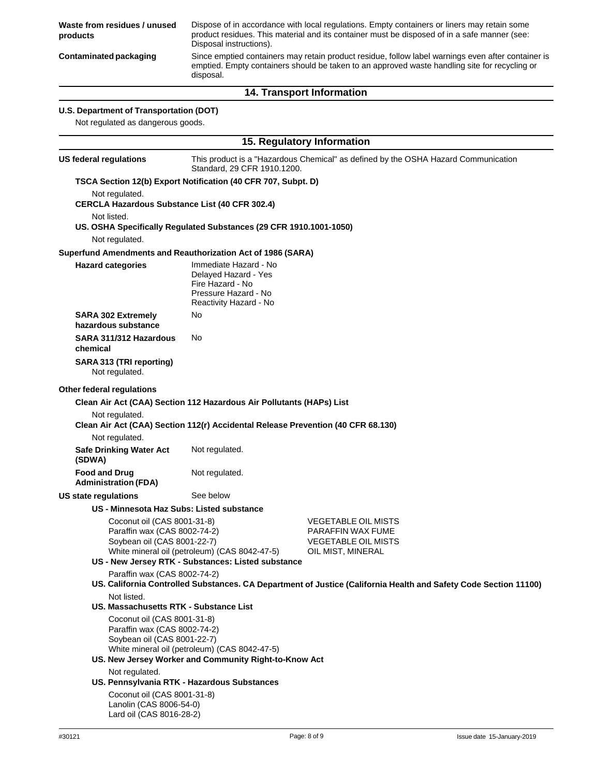**Waste from residues / unused products** Dispose of in accordance with local regulations. Empty containers or liners may retain some product residues. This material and its container must be disposed of in a safe manner (see: Disposal instructions). Since emptied containers may retain product residue, follow label warnings even after container is emptied. Empty containers should be taken to an approved waste handling site for recycling or disposal. **Contaminated packaging 14. Transport Information U.S. Department of Transportation (DOT)** Not regulated as dangerous goods. **15. Regulatory Information US federal regulations** This product is a "Hazardous Chemical" as defined by the OSHA Hazard Communication Standard, 29 CFR 1910.1200. **TSCA Section 12(b) Export Notification (40 CFR 707, Subpt. D)** Not regulated. **CERCLA Hazardous Substance List (40 CFR 302.4)** Not listed. **US. OSHA Specifically Regulated Substances (29 CFR 1910.1001-1050)** Not regulated. **Superfund Amendments and Reauthorization Act of 1986 (SARA) Hazard categories** Immediate Hazard - No Delayed Hazard - Yes Fire Hazard - No Pressure Hazard - No Reactivity Hazard - No **SARA 302 Extremely** No **hazardous substance SARA 311/312 Hazardous chemical SARA 313 (TRI reporting)** Not regulated. No **Other federal regulations Clean Air Act (CAA) Section 112 Hazardous Air Pollutants (HAPs) List** Not regulated. **Clean Air Act (CAA) Section 112(r) Accidental Release Prevention (40 CFR 68.130)** Not regulated. **Safe Drinking Water Act (SDWA) Food and Drug Administration (FDA) US state regulations** Not regulated. Not regulated. See below **US - Minnesota Haz Subs: Listed substance** Coconut oil (CAS 8001-31-8) Paraffin wax (CAS 8002-74-2) Soybean oil (CAS 8001-22-7) White mineral oil (petroleum) (CAS 8042-47-5) **US - New Jersey RTK - Substances: Listed substance** Paraffin wax (CAS 8002-74-2) VEGETABLE OIL MISTS PARAFFIN WAX FUME VEGETABLE OIL MISTS OIL MIST, MINERAL **US. California Controlled Substances. CA Department of Justice (California Health and Safety Code Section 11100)** Not listed. **US. Massachusetts RTK - Substance List** Coconut oil (CAS 8001-31-8) Paraffin wax (CAS 8002-74-2) Soybean oil (CAS 8001-22-7) White mineral oil (petroleum) (CAS 8042-47-5) **US. New Jersey Worker and Community Right-to-Know Act** Not regulated. **US. Pennsylvania RTK - Hazardous Substances** Coconut oil (CAS 8001-31-8) Lanolin (CAS 8006-54-0) Lard oil (CAS 8016-28-2)